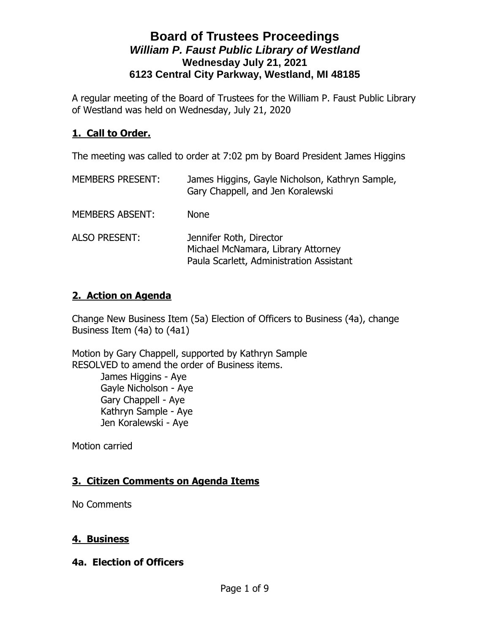A regular meeting of the Board of Trustees for the William P. Faust Public Library of Westland was held on Wednesday, July 21, 2020

### **1. Call to Order.**

The meeting was called to order at 7:02 pm by Board President James Higgins

| <b>MEMBERS PRESENT:</b> | James Higgins, Gayle Nicholson, Kathryn Sample,<br>Gary Chappell, and Jen Koralewski                      |
|-------------------------|-----------------------------------------------------------------------------------------------------------|
| <b>MEMBERS ABSENT:</b>  | <b>None</b>                                                                                               |
| <b>ALSO PRESENT:</b>    | Jennifer Roth, Director<br>Michael McNamara, Library Attorney<br>Paula Scarlett, Administration Assistant |

### **2. Action on Agenda**

Change New Business Item (5a) Election of Officers to Business (4a), change Business Item (4a) to (4a1)

Motion by Gary Chappell, supported by Kathryn Sample RESOLVED to amend the order of Business items.

> James Higgins - Aye Gayle Nicholson - Aye Gary Chappell - Aye Kathryn Sample - Aye Jen Koralewski - Aye

Motion carried

## **3. Citizen Comments on Agenda Items**

No Comments

#### **4. Business**

#### **4a. Election of Officers**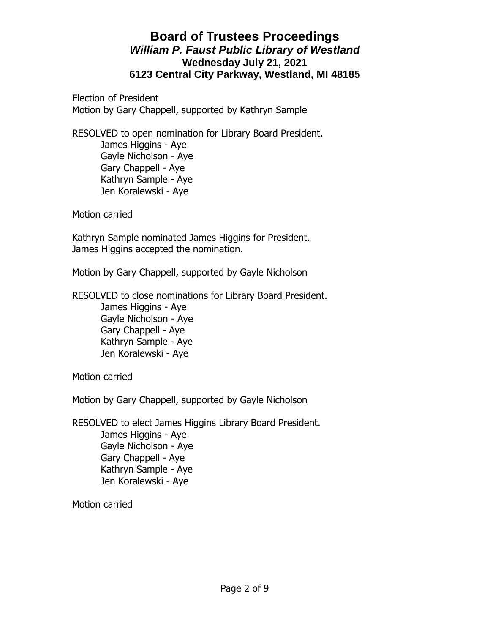Election of President Motion by Gary Chappell, supported by Kathryn Sample

RESOLVED to open nomination for Library Board President. James Higgins - Aye Gayle Nicholson - Aye Gary Chappell - Aye Kathryn Sample - Aye Jen Koralewski - Aye

Motion carried

Kathryn Sample nominated James Higgins for President. James Higgins accepted the nomination.

Motion by Gary Chappell, supported by Gayle Nicholson

RESOLVED to close nominations for Library Board President. James Higgins - Aye Gayle Nicholson - Aye Gary Chappell - Aye Kathryn Sample - Aye Jen Koralewski - Aye

Motion carried

Motion by Gary Chappell, supported by Gayle Nicholson

RESOLVED to elect James Higgins Library Board President.

James Higgins - Aye Gayle Nicholson - Aye Gary Chappell - Aye Kathryn Sample - Aye Jen Koralewski - Aye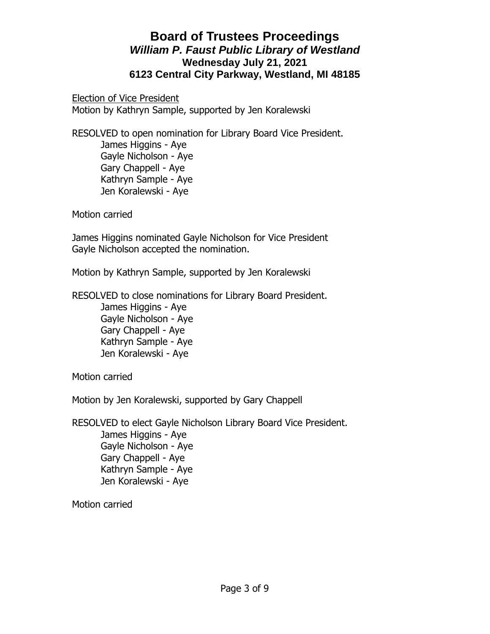Election of Vice President Motion by Kathryn Sample, supported by Jen Koralewski

RESOLVED to open nomination for Library Board Vice President. James Higgins - Aye Gayle Nicholson - Aye Gary Chappell - Aye Kathryn Sample - Aye Jen Koralewski - Aye

Motion carried

James Higgins nominated Gayle Nicholson for Vice President Gayle Nicholson accepted the nomination.

Motion by Kathryn Sample, supported by Jen Koralewski

RESOLVED to close nominations for Library Board President. James Higgins - Aye Gayle Nicholson - Aye Gary Chappell - Aye Kathryn Sample - Aye Jen Koralewski - Aye

Motion carried

Motion by Jen Koralewski, supported by Gary Chappell

RESOLVED to elect Gayle Nicholson Library Board Vice President. James Higgins - Aye Gayle Nicholson - Aye

> Gary Chappell - Aye Kathryn Sample - Aye Jen Koralewski - Aye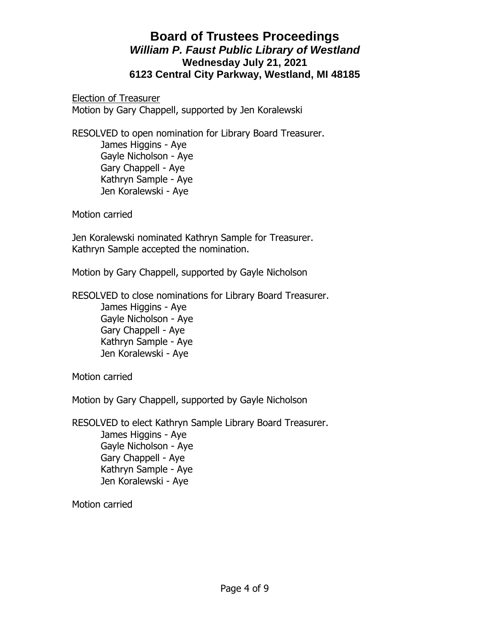Election of Treasurer Motion by Gary Chappell, supported by Jen Koralewski

RESOLVED to open nomination for Library Board Treasurer. James Higgins - Aye Gayle Nicholson - Aye Gary Chappell - Aye Kathryn Sample - Aye Jen Koralewski - Aye

Motion carried

Jen Koralewski nominated Kathryn Sample for Treasurer. Kathryn Sample accepted the nomination.

Motion by Gary Chappell, supported by Gayle Nicholson

RESOLVED to close nominations for Library Board Treasurer. James Higgins - Aye Gayle Nicholson - Aye Gary Chappell - Aye Kathryn Sample - Aye Jen Koralewski - Aye

Motion carried

Motion by Gary Chappell, supported by Gayle Nicholson

RESOLVED to elect Kathryn Sample Library Board Treasurer. James Higgins - Aye Gayle Nicholson - Aye Gary Chappell - Aye

 Kathryn Sample - Aye Jen Koralewski - Aye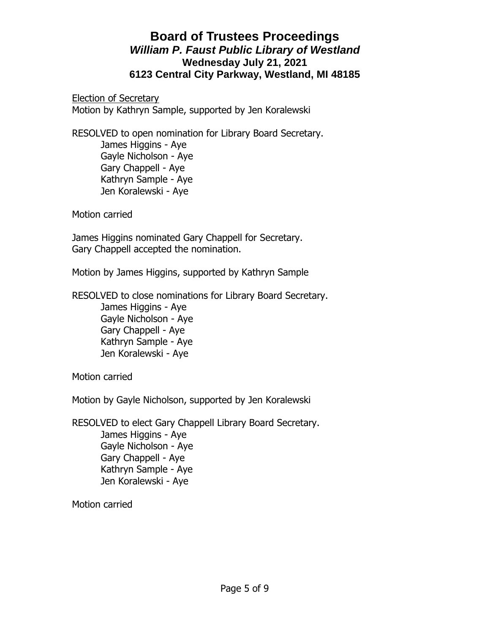Election of Secretary Motion by Kathryn Sample, supported by Jen Koralewski

RESOLVED to open nomination for Library Board Secretary. James Higgins - Aye Gayle Nicholson - Aye Gary Chappell - Aye Kathryn Sample - Aye Jen Koralewski - Aye

Motion carried

James Higgins nominated Gary Chappell for Secretary. Gary Chappell accepted the nomination.

Motion by James Higgins, supported by Kathryn Sample

RESOLVED to close nominations for Library Board Secretary. James Higgins - Aye Gayle Nicholson - Aye Gary Chappell - Aye Kathryn Sample - Aye Jen Koralewski - Aye

Motion carried

Motion by Gayle Nicholson, supported by Jen Koralewski

RESOLVED to elect Gary Chappell Library Board Secretary.

James Higgins - Aye Gayle Nicholson - Aye Gary Chappell - Aye Kathryn Sample - Aye Jen Koralewski - Aye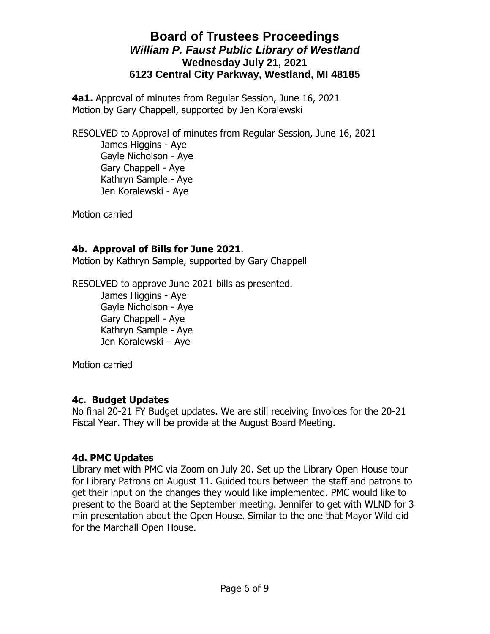**4a1.** Approval of minutes from Regular Session, June 16, 2021 Motion by Gary Chappell, supported by Jen Koralewski

RESOLVED to Approval of minutes from Regular Session, June 16, 2021 James Higgins - Aye Gayle Nicholson - Aye Gary Chappell - Aye Kathryn Sample - Aye Jen Koralewski - Aye

Motion carried

#### **4b. Approval of Bills for June 2021**.

Motion by Kathryn Sample, supported by Gary Chappell

RESOLVED to approve June 2021 bills as presented. James Higgins - Aye Gayle Nicholson - Aye Gary Chappell - Aye

> Kathryn Sample - Aye Jen Koralewski – Aye

Motion carried

#### **4c. Budget Updates**

No final 20-21 FY Budget updates. We are still receiving Invoices for the 20-21 Fiscal Year. They will be provide at the August Board Meeting.

#### **4d. PMC Updates**

Library met with PMC via Zoom on July 20. Set up the Library Open House tour for Library Patrons on August 11. Guided tours between the staff and patrons to get their input on the changes they would like implemented. PMC would like to present to the Board at the September meeting. Jennifer to get with WLND for 3 min presentation about the Open House. Similar to the one that Mayor Wild did for the Marchall Open House.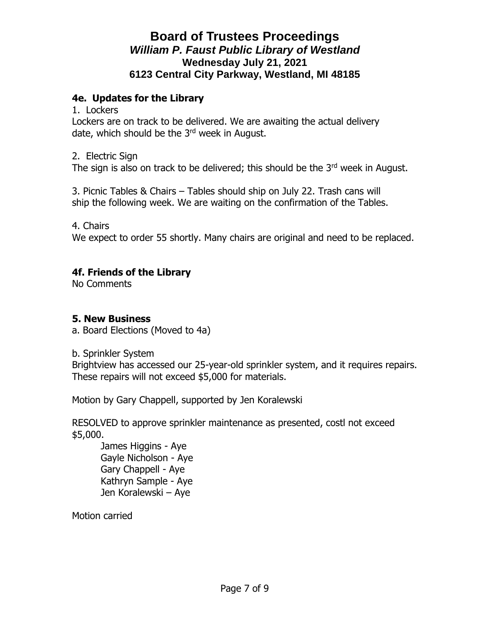### **4e. Updates for the Library**

1. Lockers

Lockers are on track to be delivered. We are awaiting the actual delivery date, which should be the 3<sup>rd</sup> week in August.

2. Electric Sign

The sign is also on track to be delivered; this should be the  $3<sup>rd</sup>$  week in August.

3. Picnic Tables & Chairs – Tables should ship on July 22. Trash cans will ship the following week. We are waiting on the confirmation of the Tables.

4. Chairs

We expect to order 55 shortly. Many chairs are original and need to be replaced.

### **4f. Friends of the Library**

No Comments

#### **5. New Business**

a. Board Elections (Moved to 4a)

b. Sprinkler System

Brightview has accessed our 25-year-old sprinkler system, and it requires repairs. These repairs will not exceed \$5,000 for materials.

Motion by Gary Chappell, supported by Jen Koralewski

RESOLVED to approve sprinkler maintenance as presented, costl not exceed \$5,000.

James Higgins - Aye Gayle Nicholson - Aye Gary Chappell - Aye Kathryn Sample - Aye Jen Koralewski – Aye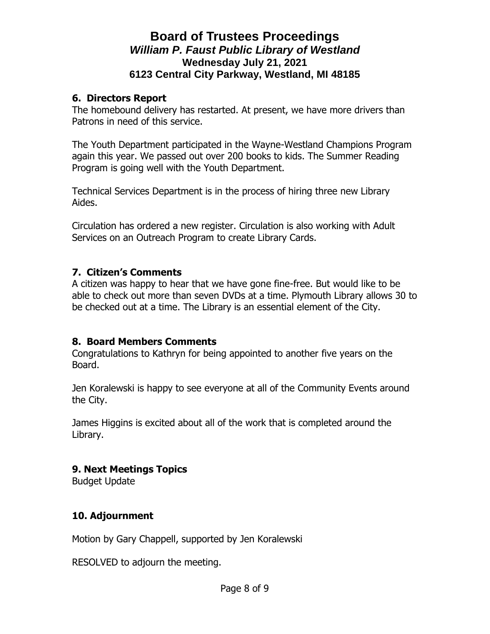#### **6. Directors Report**

The homebound delivery has restarted. At present, we have more drivers than Patrons in need of this service.

The Youth Department participated in the Wayne-Westland Champions Program again this year. We passed out over 200 books to kids. The Summer Reading Program is going well with the Youth Department.

Technical Services Department is in the process of hiring three new Library Aides.

Circulation has ordered a new register. Circulation is also working with Adult Services on an Outreach Program to create Library Cards.

### **7. Citizen's Comments**

A citizen was happy to hear that we have gone fine-free. But would like to be able to check out more than seven DVDs at a time. Plymouth Library allows 30 to be checked out at a time. The Library is an essential element of the City.

### **8. Board Members Comments**

Congratulations to Kathryn for being appointed to another five years on the Board.

Jen Koralewski is happy to see everyone at all of the Community Events around the City.

James Higgins is excited about all of the work that is completed around the Library.

### **9. Next Meetings Topics**

Budget Update

### **10. Adjournment**

Motion by Gary Chappell, supported by Jen Koralewski

RESOLVED to adjourn the meeting.